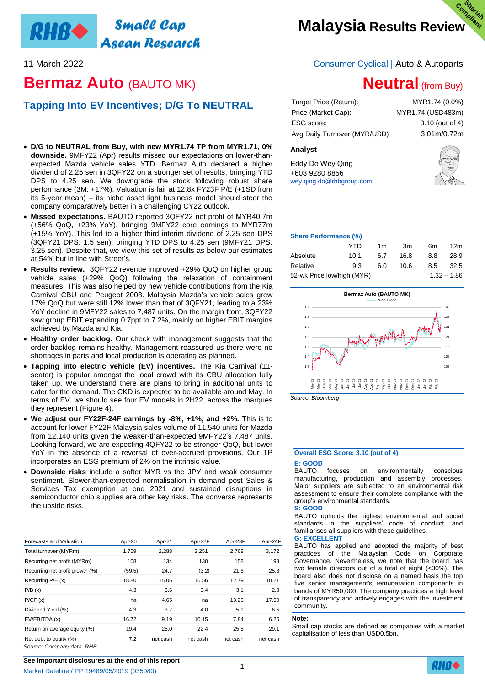# **Small Cap RHB+** Asean Research

# **Bermaz Auto** (BAUTO MK)

# **Tapping Into EV Incentives; D/G To NEUTRAL**

- **D/G to NEUTRAL from Buy, with new MYR1.74 TP from MYR1.71, 0% downside.** 9MFY22 (Apr) results missed our expectations on lower-thanexpected Mazda vehicle sales YTD. Bermaz Auto declared a higher dividend of 2.25 sen in 3QFY22 on a stronger set of results, bringing YTD DPS to 4.25 sen. We downgrade the stock following robust share performance (3M: +17%). Valuation is fair at 12.8x FY23F P/E (+1SD from its 5-year mean) – its niche asset light business model should steer the company comparatively better in a challenging CY22 outlook.
- **Missed expectations.** BAUTO reported 3QFY22 net profit of MYR40.7m (+56% QoQ, +23% YoY), bringing 9MFY22 core earnings to MYR77m (+15% YoY). This led to a higher third interim dividend of 2.25 sen DPS (3QFY21 DPS: 1.5 sen), bringing YTD DPS to 4.25 sen (9MFY21 DPS: 3.25 sen). Despite that, we view this set of results as below our estimates at 54% but in line with Street's.
- **Results review.** 3QFY22 revenue improved +29% QoQ on higher group vehicle sales (+29% QoQ) following the relaxation of containment measures. This was also helped by new vehicle contributions from the Kia Carnival CBU and Peugeot 2008. Malaysia Mazda's vehicle sales grew 17% QoQ but were still 12% lower than that of 3QFY21, leading to a 23% YoY decline in 9MFY22 sales to 7,487 units. On the margin front, 3QFY22 saw group EBIT expanding 0.7ppt to 7.2%, mainly on higher EBIT margins achieved by Mazda and Kia.
- **Healthy order backlog.** Our check with management suggests that the order backlog remains healthy. Management reassured us there were no shortages in parts and local production is operating as planned.
- **Tapping into electric vehicle (EV) incentives.** The Kia Carnival (11 seater) is popular amongst the local crowd with its CBU allocation fully taken up. We understand there are plans to bring in additional units to cater for the demand. The CKD is expected to be available around May. In terms of EV, we should see four EV models in 2H22, across the marques they represent (Figure 4).
- **We adjust our FY22F-24F earnings by -8%, +1%, and +2%.** This is to account for lower FY22F Malaysia sales volume of 11,540 units for Mazda from 12,140 units given the weaker-than-expected 9MFY22's 7,487 units. Looking forward, we are expecting 4QFY22 to be stronger QoQ, but lower YoY in the absence of a reversal of over-accrued provisions. Our TP incorporates an ESG premium of 2% on the intrinsic value.
- **Downside risks** include a softer MYR vs the JPY and weak consumer sentiment. Slower-than-expected normalisation in demand post Sales & Services Tax exemption at end 2021 and sustained disruptions in semiconductor chip supplies are other key risks. The converse represents the upside risks.

| Forecasts and Valuation                             | Apr-20 | Apr-21   | Apr-22F  | Apr-23F  | Apr-24F  |
|-----------------------------------------------------|--------|----------|----------|----------|----------|
| Total turnover (MYRm)                               | 1,759  | 2,288    | 2,251    | 2,768    | 3,172    |
| Recurring net profit (MYRm)                         | 108    | 134      | 130      | 158      | 198      |
| Recurring net profit growth (%)                     | (59.5) | 24.7     | (3.2)    | 21.6     | 25.3     |
| Recurring P/E (x)                                   | 18.80  | 15.06    | 15.56    | 12.79    | 10.21    |
| P/B(x)                                              | 4.3    | 3.6      | 3.4      | 3.1      | 2.8      |
| P/CF(x)                                             | na     | 4.65     | na       | 13.25    | 17.50    |
| Dividend Yield (%)                                  | 4.3    | 3.7      | 4.0      | 5.1      | 6.5      |
| EV/EBITDA (x)                                       | 16.72  | 9.19     | 10.15    | 7.84     | 6.25     |
| Return on average equity (%)                        | 19.4   | 25.0     | 22.4     | 25.5     | 29.1     |
| Net debt to equity (%)<br>Source: Company data, RHB | 7.2    | net cash | net cash | net cash | net cash |

# **Malaysia Results Review**

# 11 March 2022 Consumer Cyclical | Auto & Autoparts

# **Neutral** (from Buy)

| MYR1.74 (0.0%)                       |
|--------------------------------------|
| MYR1.74 (USD483m)                    |
| 3.10 (out of 4)                      |
| 3.01 <sub>m</sub> /0.72 <sub>m</sub> |
|                                      |

# **Analyst**

Eddy Do Wey Qing +603 9280 8856 <wey.qing.do@rhbgroup.com>



### **Share Performance (%)**

|                            | YTD  | 1m  | 3m   | 6m  | 12 <sub>m</sub> |
|----------------------------|------|-----|------|-----|-----------------|
| Absolute                   | 10.1 | 6.7 | 16.8 | 8.8 | 28.9            |
| Relative                   | 9.3  | 6.0 | 10.6 | 8.5 | 32.5            |
| 52-wk Price low/high (MYR) |      |     |      |     | $1.32 - 1.86$   |



# **Overall ESG Score: 3.10 (out of 4)**

### **E: GOOD**

BAUTO focuses on environmentally conscious manufacturing, production and assembly processes. Major suppliers are subjected to an environmental risk assessment to ensure their complete compliance with the group's environmental standards.

## **S: GOOD**

BAUTO upholds the highest environmental and social standards in the suppliers' code of conduct, and familiarises all suppliers with these guidelines. **G: EXCELLENT**

BAUTO has applied and adopted the majority of best practices of the Malaysian Code on Corporate Governance. Nevertheless, we note that the board has two female directors out of a total of eight (<30%). The board also does not disclose on a named basis the top five senior management's remuneration components in bands of MYR50,000. The company practices a high level of transparency and actively engages with the investment community.

### **Note:**

Small cap stocks are defined as companies with a market capitalisation of less than USD0.5bn.

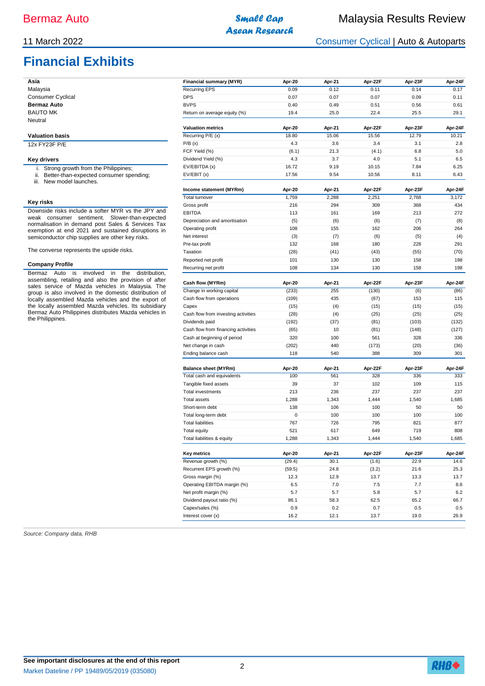# **Financial Exhibits**

| Financial summary (MYR)      | Apr-20 | Apr-21 | Apr-22F | Apr-23F | Apr-24F |
|------------------------------|--------|--------|---------|---------|---------|
| Recurring EPS                | 0.09   | 0.12   | 0.11    | 0.14    | 0.17    |
| <b>DPS</b>                   | 0.07   | 0.07   | 0.07    | 0.09    | 0.11    |
| <b>BVPS</b>                  | 0.40   | 0.49   | 0.51    | 0.56    | 0.61    |
| Return on average equity (%) | 19.4   | 25.0   | 22.4    | 25.5    | 29.1    |
| <b>Valuation metrics</b>     | Apr-20 | Apr-21 | Apr-22F | Apr-23F | Apr-24F |
| Recurring P/E (x)            | 18.80  | 15.06  | 15.56   | 12.79   | 10.21   |
|                              |        |        |         |         |         |

#### **Valuation basis** 12x FY23F P/E

#### **Key drivers**

**Asia** Malaysia Consumer Cyclical **Bermaz Auto** BAUTO MK Neutral

- i. Strong growth from the Philippines; ii. Better-than-expected consumer spending;
- iii. New model launches.

#### **Key risks**

Downside risks include a softer MYR vs the JPY and weak consumer sentiment. Slower-than-expected normalisation in demand post Sales & Services Tax exemption at end 2021 and sustained disruptions in semiconductor chip supplies are other key risks.

The converse represents the upside risks.

#### **Company Profile**

Bermaz Auto is involved in the distribution, assembling, retailing and also the provision of after sales service of Mazda vehicles in Malaysia. The group is also involved in the domestic distribution of locally assembled Mazda vehicles and the export of the locally assembled Mazda vehicles. Its subsidiary Bermaz Auto Philippines distributes Mazda vehicles in the Philippines.

| Source: Company data, RHB |  |
|---------------------------|--|
|---------------------------|--|

| FCF Yield (%)                       | (6.1)  | 21.3   | (4.1)   | 6.8     | 5.0     |
|-------------------------------------|--------|--------|---------|---------|---------|
| Dividend Yield (%)                  | 4.3    | 3.7    | 4.0     | 5.1     | 6.5     |
| EV/EBITDA (x)                       | 16.72  | 9.19   | 10.15   | 7.84    | 6.25    |
| EV/EBIT (x)                         | 17.56  | 9.54   | 10.56   | 8.11    | 6.43    |
|                                     |        |        |         |         |         |
| Income statement (MYRm)             | Apr-20 | Apr-21 | Apr-22F | Apr-23F | Apr-24F |
| Total turnover                      | 1,759  | 2,288  | 2,251   | 2,768   | 3,172   |
| Gross profit                        | 216    | 294    | 309     | 368     | 434     |
| EBITDA                              | 113    | 161    | 169     | 213     | 272     |
| Depreciation and amortisation       | (5)    | (6)    | (6)     | (7)     | (8)     |
| Operating profit                    | 108    | 155    | 162     | 206     | 264     |
| Net interest                        | (3)    | (7)    | (6)     | (5)     | (4)     |
| Pre-tax profit                      | 132    | 168    | 180     | 228     | 291     |
| Taxation                            | (28)   | (41)   | (43)    | (55)    | (70)    |
| Reported net profit                 | 101    | 130    | 130     | 158     | 198     |
| Recurring net profit                | 108    | 134    | 130     | 158     | 198     |
| Cash flow (MYRm)                    | Apr-20 | Apr-21 | Apr-22F | Apr-23F | Apr-24F |
| Change in working capital           | (233)  | 255    | (130)   | (6)     | (86)    |
| Cash flow from operations           | (109)  | 435    | (67)    | 153     | 115     |
| Capex                               | (15)   | (4)    | (15)    | (15)    | (15)    |
| Cash flow from investing activities | (28)   | (4)    | (25)    | (25)    | (25)    |
| Dividends paid                      | (192)  | (37)   | (81)    | (103)   | (132)   |
| Cash flow from financing activities | (65)   | 10     | (81)    | (148)   | (127)   |
| Cash at beginning of period         | 320    | 100    | 561     | 328     | 336     |
| Net change in cash                  | (202)  | 440    | (173)   | (20)    | (36)    |
| Ending balance cash                 | 118    | 540    | 388     | 309     | 301     |
| <b>Balance sheet (MYRm)</b>         | Apr-20 | Apr-21 | Apr-22F | Apr-23F | Apr-24F |
| Total cash and equivalents          | 100    | 561    | 328     | 336     | 333     |
| Tangible fixed assets               | 39     | 37     | 102     | 109     | 115     |
| Total investments                   | 213    | 236    | 237     | 237     | 237     |
| Total assets                        | 1,288  | 1,343  | 1,444   | 1,540   | 1,685   |
| Short-term debt                     | 138    | 106    | 100     | 50      | 50      |
| Total long-term debt                | 0      | 100    | 100     | 100     | 100     |
| <b>Total liabilities</b>            | 767    | 726    | 795     | 821     | 877     |
| <b>Total equity</b>                 | 521    | 617    | 649     | 719     | 808     |
| Total liabilities & equity          | 1,288  | 1,343  | 1,444   | 1,540   | 1,685   |
|                                     |        |        |         |         |         |
| Key metrics                         | Apr-20 | Apr-21 | Apr-22F | Apr-23F | Apr-24F |
| Revenue growth (%)                  | (29.4) | 30.1   | (1.6)   | 22.9    | 14.6    |
| Recurrent EPS growth (%)            | (59.5) | 24.8   | (3.2)   | 21.6    | 25.3    |
| Gross margin (%)                    | 12.3   | 12.9   | 13.7    | 13.3    | 13.7    |
| Operating EBITDA margin (%)         | 6.5    | 7.0    | 7.5     | 7.7     | 8.6     |
| Net profit margin (%)               | 5.7    | 5.7    | 5.8     | 5.7     | 6.2     |
| Dividend payout ratio (%)           | 86.1   | 58.3   | 62.5    | 65.2    | 66.7    |
| Capex/sales (%)                     | 0.9    | 0.2    | 0.7     | 0.5     | 0.5     |

Interest cover (x) 16.2 12.1 13.7 19.0 26.9

 $P/B(x)$  2.8  $4.3$  3.6 3.4 3.1 2.8

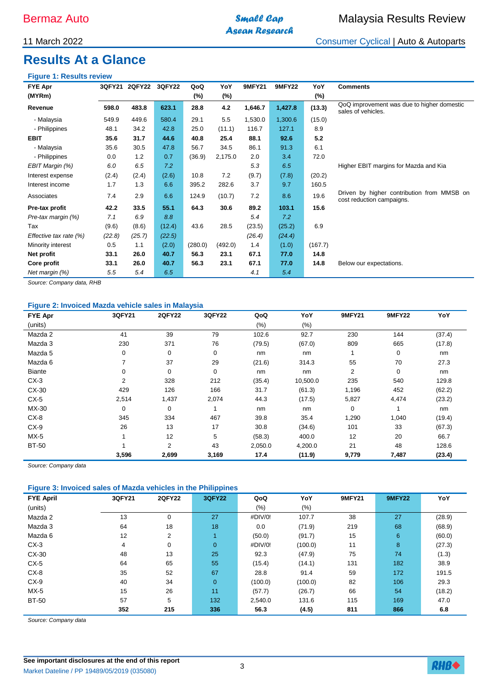# **Asean Research**

# 11 March 2022 Consumer Cyclical | Auto & Autoparts

# **Results At a Glance**

# **Figure 1: Results review**

| <b>FYE Apr</b>            | <b>3QFY21</b> | <b>2QFY22</b> | <b>3QFY22</b> | QoQ     | YoY     | <b>9MFY21</b> | <b>9MFY22</b> | YoY     | <b>Comments</b>                                                         |
|---------------------------|---------------|---------------|---------------|---------|---------|---------------|---------------|---------|-------------------------------------------------------------------------|
| (MYRm)                    |               |               |               | (%)     | (%)     |               |               | $(\%)$  |                                                                         |
| Revenue                   | 598.0         | 483.8         | 623.1         | 28.8    | 4.2     | 1,646.7       | 1,427.8       | (13.3)  | QoQ improvement was due to higher domestic<br>sales of vehicles.        |
| - Malaysia                | 549.9         | 449.6         | 580.4         | 29.1    | 5.5     | 1,530.0       | 1,300.6       | (15.0)  |                                                                         |
| - Philippines             | 48.1          | 34.2          | 42.8          | 25.0    | (11.1)  | 116.7         | 127.1         | 8.9     |                                                                         |
| <b>EBIT</b>               | 35.6          | 31.7          | 44.6          | 40.8    | 25.4    | 88.1          | 92.6          | 5.2     |                                                                         |
| - Malaysia                | 35.6          | 30.5          | 47.8          | 56.7    | 34.5    | 86.1          | 91.3          | 6.1     |                                                                         |
| - Philippines             | 0.0           | 1.2           | 0.7           | (36.9)  | 2,175.0 | 2.0           | 3.4           | 72.0    |                                                                         |
| EBIT Margin (%)           | 6.0           | 6.5           | 7.2           |         |         | 5.3           | 6.5           |         | Higher EBIT margins for Mazda and Kia                                   |
| Interest expense          | (2.4)         | (2.4)         | (2.6)         | 10.8    | 7.2     | (9.7)         | (7.8)         | (20.2)  |                                                                         |
| Interest income           | 1.7           | 1.3           | 6.6           | 395.2   | 282.6   | 3.7           | 9.7           | 160.5   |                                                                         |
| Associates                | 7.4           | 2.9           | 6.6           | 124.9   | (10.7)  | 7.2           | 8.6           | 19.6    | Driven by higher contribution from MMSB on<br>cost reduction campaigns. |
| Pre-tax profit            | 42.2          | 33.5          | 55.1          | 64.3    | 30.6    | 89.2          | 103.1         | 15.6    |                                                                         |
| Pre-tax margin (%)        | 7.1           | 6.9           | 8.8           |         |         | 5.4           | 7.2           |         |                                                                         |
| Tax                       | (9.6)         | (8.6)         | (12.4)        | 43.6    | 28.5    | (23.5)        | (25.2)        | 6.9     |                                                                         |
| Effective tax rate $(\%)$ | (22.8)        | (25.7)        | (22.5)        |         |         | (26.4)        | (24.4)        |         |                                                                         |
| Minority interest         | 0.5           | 1.1           | (2.0)         | (280.0) | (492.0) | 1.4           | (1.0)         | (167.7) |                                                                         |
| Net profit                | 33.1          | 26.0          | 40.7          | 56.3    | 23.1    | 67.1          | 77.0          | 14.8    |                                                                         |
| Core profit               | 33.1          | 26.0          | 40.7          | 56.3    | 23.1    | 67.1          | 77.0          | 14.8    | Below our expectations.                                                 |
| Net margin (%)            | 5.5           | 5.4           | 6.5           |         |         | 4.1           | 5.4           |         |                                                                         |

*Source: Company data, RHB*

# **Figure 2: Invoiced Mazda vehicle sales in Malaysia**

| <b>FYE Apr</b> | 3QFY21 | <b>2QFY22</b>  | 3QFY22 | QoQ     | YoY      | <b>9MFY21</b>  | <b>9MFY22</b> | YoY    |
|----------------|--------|----------------|--------|---------|----------|----------------|---------------|--------|
| (units)        |        |                |        | $(\% )$ | $(\%)$   |                |               |        |
| Mazda 2        | 41     | 39             | 79     | 102.6   | 92.7     | 230            | 144           | (37.4) |
| Mazda 3        | 230    | 371            | 76     | (79.5)  | (67.0)   | 809            | 665           | (17.8) |
| Mazda 5        | 0      | $\mathbf 0$    | 0      | nm      | nm       |                | 0             | nm     |
| Mazda 6        | 7      | 37             | 29     | (21.6)  | 314.3    | 55             | 70            | 27.3   |
| <b>Biante</b>  | 0      | 0              | 0      | nm      | nm       | $\overline{2}$ | 0             | nm     |
| $CX-3$         | 2      | 328            | 212    | (35.4)  | 10,500.0 | 235            | 540           | 129.8  |
| CX-30          | 429    | 126            | 166    | 31.7    | (61.3)   | 1,196          | 452           | (62.2) |
| $CX-5$         | 2,514  | 1,437          | 2,074  | 44.3    | (17.5)   | 5,827          | 4,474         | (23.2) |
| MX-30          | 0      | 0              |        | nm      | nm       | 0              |               | nm     |
| $CX-8$         | 345    | 334            | 467    | 39.8    | 35.4     | 1,290          | 1,040         | (19.4) |
| $CX-9$         | 26     | 13             | 17     | 30.8    | (34.6)   | 101            | 33            | (67.3) |
| $MX-5$         |        | 12             | 5      | (58.3)  | 400.0    | 12             | 20            | 66.7   |
| <b>BT-50</b>   |        | $\overline{2}$ | 43     | 2,050.0 | 4,200.0  | 21             | 48            | 128.6  |
|                | 3,596  | 2,699          | 3,169  | 17.4    | (11.9)   | 9,779          | 7,487         | (23.4) |

*Source: Company data*

# **Figure 3: Invoiced sales of Mazda vehicles in the Philippines**

| <b>FYE April</b> | 3QFY21 | <b>2QFY22</b>  | <b>3QFY22</b>  | QoQ     | YoY     | <b>9MFY21</b> | <b>9MFY22</b> | YoY    |
|------------------|--------|----------------|----------------|---------|---------|---------------|---------------|--------|
| (units)          |        |                |                | $(\%)$  | $(\%)$  |               |               |        |
| Mazda 2          | 13     | 0              | 27             | #DIV/0! | 107.7   | 38            | 27            | (28.9) |
| Mazda 3          | 64     | 18             | 18             | 0.0     | (71.9)  | 219           | 68            | (68.9) |
| Mazda 6          | 12     | $\overline{2}$ | 1              | (50.0)  | (91.7)  | 15            | 6             | (60.0) |
| $CX-3$           | 4      | 0              | $\overline{0}$ | #DIV/0! | (100.0) | 11            | 8             | (27.3) |
| CX-30            | 48     | 13             | 25             | 92.3    | (47.9)  | 75            | 74            | (1.3)  |
| $CX-5$           | 64     | 65             | 55             | (15.4)  | (14.1)  | 131           | 182           | 38.9   |
| $CX-8$           | 35     | 52             | 67             | 28.8    | 91.4    | 59            | 172           | 191.5  |
| $CX-9$           | 40     | 34             | $\mathbf{0}$   | (100.0) | (100.0) | 82            | 106           | 29.3   |
| $MX-5$           | 15     | 26             | 11             | (57.7)  | (26.7)  | 66            | 54            | (18.2) |
| <b>BT-50</b>     | 57     | 5              | 132            | 2,540.0 | 131.6   | 115           | 169           | 47.0   |
|                  | 352    | 215            | 336            | 56.3    | (4.5)   | 811           | 866           | 6.8    |

*Source: Company data*

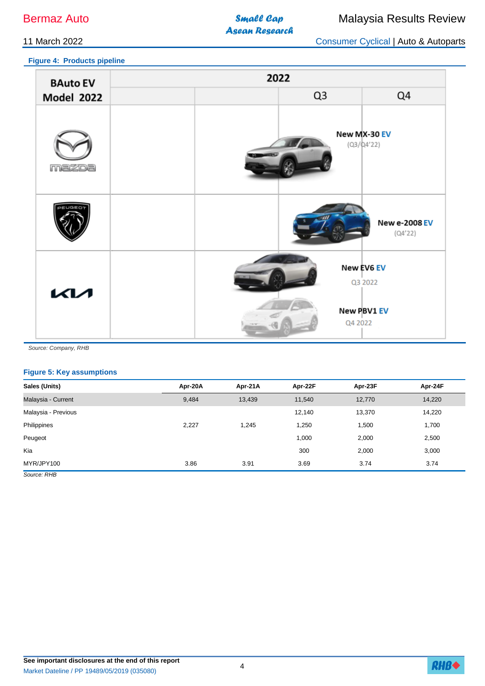**Asean Research** 

**Figure 4: Products pipeline**

11 March 2022 Consumer Cyclical | Auto & Autoparts

| <b>BAuto EV</b>   |  | 2022           |                                      |
|-------------------|--|----------------|--------------------------------------|
| <b>Model 2022</b> |  | Q <sub>3</sub> | Q4                                   |
| mazoa             |  |                | New MX-30 EV<br>$(Q3/\Delta4'22)$    |
| LIGEE             |  |                | <b>New e-2008 EV</b><br>(Q4'22)      |
| <b>KM</b>         |  | Q4 2022        | New EV6 EV<br>Q3 2022<br>New PBV1 EV |

*Source: Company, RHB*

## **Figure 5: Key assumptions**

| Sales (Units)       | Apr-20A | Apr-21A | Apr-22F | Apr-23F | Apr-24F |
|---------------------|---------|---------|---------|---------|---------|
| Malaysia - Current  | 9,484   | 13,439  | 11,540  | 12,770  | 14,220  |
| Malaysia - Previous |         |         | 12,140  | 13,370  | 14,220  |
| Philippines         | 2,227   | 1,245   | 1,250   | 1,500   | 1,700   |
| Peugeot             |         |         | 1,000   | 2,000   | 2,500   |
| Kia                 |         |         | 300     | 2,000   | 3,000   |
| MYR/JPY100          | 3.86    | 3.91    | 3.69    | 3.74    | 3.74    |
| Source: RHB         |         |         |         |         |         |

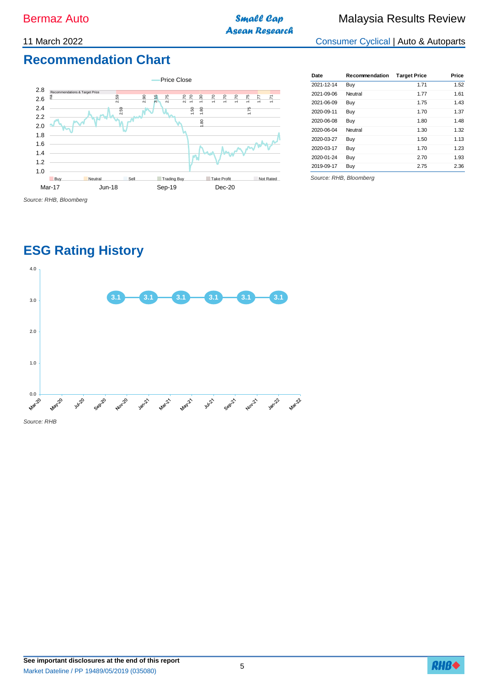**Asean Research** 

11 March 2022 Consumer Cyclical | Auto & Autoparts

# **Recommendation Chart**



| Date       | Recommendation | <b>Target Price</b> | Price |
|------------|----------------|---------------------|-------|
| 2021-12-14 | Buy            | 1.71                | 1.52  |
| 2021-09-06 | Neutral        | 1.77                | 1.61  |
| 2021-06-09 | Buy            | 1.75                | 1.43  |
| 2020-09-11 | Buy            | 1.70                | 1.37  |
| 2020-06-08 | Buy            | 1.80                | 1.48  |
| 2020-06-04 | Neutral        | 1.30                | 1.32  |
| 2020-03-27 | Buy            | 1.50                | 1.13  |
| 2020-03-17 | Buy            | 1.70                | 1.23  |
| 2020-01-24 | Buy            | 2.70                | 1.93  |
| 2019-09-17 | Buy            | 2.75                | 2.36  |

*Source: RHB, Bloomberg*

# **ESG Rating History**



**See important disclosures at the end of this report** Market Dateline / PP 19489/05/2019 (035080)

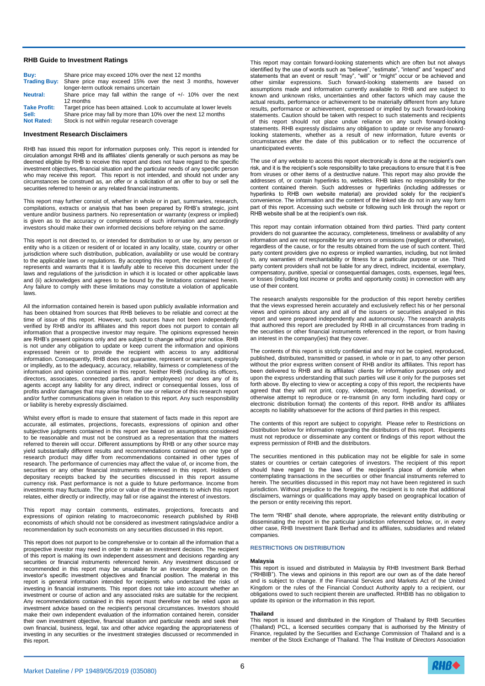#### **RHB Guide to Investment Ratings**

| Buv:                | Share price may exceed 10% over the next 12 months                      |  |
|---------------------|-------------------------------------------------------------------------|--|
|                     | Trading Buy: Share price may exceed 15% over the next 3 months, however |  |
|                     | longer-term outlook remains uncertain                                   |  |
| <b>Neutral:</b>     | Share price may fall within the range of $+/-$ 10% over the next        |  |
|                     | 12 months                                                               |  |
| <b>Take Profit:</b> | Target price has been attained. Look to accumulate at lower levels      |  |
| Sell:               | Share price may fall by more than 10% over the next 12 months           |  |
| <b>Not Rated:</b>   | Stock is not within regular research coverage                           |  |

#### **Investment Research Disclaimers**

RHB has issued this report for information purposes only. This report is intended for circulation amongst RHB and its affiliates' clients generally or such persons as may be deemed eligible by RHB to receive this report and does not have regard to the specific investment objectives, financial situation and the particular needs of any specific person who may receive this report. This report is not intended, and should not under any circumstances be construed as, an offer or a solicitation of an offer to buy or sell the securities referred to herein or any related financial instruments.

This report may further consist of, whether in whole or in part, summaries, research, compilations, extracts or analysis that has been prepared by RHB's strategic, joint venture and/or business partners. No representation or warranty (express or implied) is given as to the accuracy or completeness of such information and accordingly investors should make their own informed decisions before relying on the same.

This report is not directed to, or intended for distribution to or use by, any person or entity who is a citizen or resident of or located in any locality, state, country or other jurisdiction where such distribution, publication, availability or use would be contrary to the applicable laws or regulations. By accepting this report, the recipient hereof (i) represents and warrants that it is lawfully able to receive this document under the laws and regulations of the jurisdiction in which it is located or other applicable laws and (ii) acknowledges and agrees to be bound by the limitations contained herein. Any failure to comply with these limitations may constitute a violation of applicable laws.

All the information contained herein is based upon publicly available information and has been obtained from sources that RHB believes to be reliable and correct at the time of issue of this report. However, such sources have not been independently verified by RHB and/or its affiliates and this report does not purport to contain all information that a prospective investor may require. The opinions expressed herein are RHB's present opinions only and are subject to change without prior notice. RHB is not under any obligation to update or keep current the information and opinions expressed herein or to provide the recipient with access to any additional information. Consequently, RHB does not guarantee, represent or warrant, expressly or impliedly, as to the adequacy, accuracy, reliability, fairness or completeness of the information and opinion contained in this report. Neither RHB (including its officers, directors, associates, connected parties, and/or employees) nor does any of its agents accept any liability for any direct, indirect or consequential losses, loss of profits and/or damages that may arise from the use or reliance of this research report and/or further communications given in relation to this report. Any such responsibility or liability is hereby expressly disclaimed.

Whilst every effort is made to ensure that statement of facts made in this report are accurate, all estimates, projections, forecasts, expressions of opinion and other subjective judgments contained in this report are based on assumptions considered to be reasonable and must not be construed as a representation that the matters referred to therein will occur. Different assumptions by RHB or any other source may yield substantially different results and recommendations contained on one type of research product may differ from recommendations contained in other types of research. The performance of currencies may affect the value of, or income from, the securities or any other financial instruments referenced in this report. Holders of depositary receipts backed by the securities discussed in this report assume currency risk. Past performance is not a guide to future performance. Income from investments may fluctuate. The price or value of the investments to which this report relates, either directly or indirectly, may fall or rise against the interest of investors.

This report may contain comments, estimates, projections, forecasts and expressions of opinion relating to macroeconomic research published by RHB economists of which should not be considered as investment ratings/advice and/or a recommendation by such economists on any securities discussed in this report.

This report does not purport to be comprehensive or to contain all the information that a prospective investor may need in order to make an investment decision. The recipient of this report is making its own independent assessment and decisions regarding any securities or financial instruments referenced herein. Any investment discussed or recommended in this report may be unsuitable for an investor depending on the investor's specific investment objectives and financial position. The material in this report is general information intended for recipients who understand the risks of investing in financial instruments. This report does not take into account whether an investment or course of action and any associated risks are suitable for the recipient. Any recommendations contained in this report must therefore not be relied upon as investment advice based on the recipient's personal circumstances. Investors should make their own independent evaluation of the information contained herein, consider their own investment objective, financial situation and particular needs and seek their own financial, business, legal, tax and other advice regarding the appropriateness of investing in any securities or the investment strategies discussed or recommended in this report.

This report may contain forward-looking statements which are often but not always identified by the use of words such as "believe", "estimate", "intend" and "expect" and statements that an event or result "may", "will" or "might" occur or be achieved and other similar expressions. Such forward-looking statements are based on assumptions made and information currently available to RHB and are subject to known and unknown risks, uncertainties and other factors which may cause the actual results, performance or achievement to be materially different from any future results, performance or achievement, expressed or implied by such forward-looking statements. Caution should be taken with respect to such statements and recipients of this report should not place undue reliance on any such forward-looking statements. RHB expressly disclaims any obligation to update or revise any forwardlooking statements, whether as a result of new information, future events or circumstances after the date of this publication or to reflect the occurrence of unanticipated events.

The use of any website to access this report electronically is done at the recipient's own risk, and it is the recipient's sole responsibility to take precautions to ensure that it is free from viruses or other items of a destructive nature. This report may also provide the addresses of, or contain hyperlinks to, websites. RHB takes no responsibility for the content contained therein. Such addresses or hyperlinks (including addresses or hyperlinks to RHB own website material) are provided solely for the recipient's convenience. The information and the content of the linked site do not in any way form part of this report. Accessing such website or following such link through the report or RHB website shall be at the recipient's own risk.

This report may contain information obtained from third parties. Third party content providers do not guarantee the accuracy, completeness, timeliness or availability of any information and are not responsible for any errors or omissions (negligent or otherwise), regardless of the cause, or for the results obtained from the use of such content. Third party content providers give no express or implied warranties, including, but not limited to, any warranties of merchantability or fitness for a particular purpose or use. Third party content providers shall not be liable for any direct, indirect, incidental, exemplary, compensatory, punitive, special or consequential damages, costs, expenses, legal fees, or losses (including lost income or profits and opportunity costs) in connection with any use of their content.

The research analysts responsible for the production of this report hereby certifies that the views expressed herein accurately and exclusively reflect his or her personal views and opinions about any and all of the issuers or securities analysed in this report and were prepared independently and autonomously. The research analysts that authored this report are precluded by RHB in all circumstances from trading in the securities or other financial instruments referenced in the report, or from having an interest in the company(ies) that they cover.

The contents of this report is strictly confidential and may not be copied, reproduced, published, distributed, transmitted or passed, in whole or in part, to any other person without the prior express written consent of RHB and/or its affiliates. This report has been delivered to RHB and its affiliates' clients for information purposes only and upon the express understanding that such parties will use it only for the purposes set forth above. By electing to view or accepting a copy of this report, the recipients have agreed that they will not print, copy, videotape, record, hyperlink, download, or otherwise attempt to reproduce or re-transmit (in any form including hard copy or electronic distribution format) the contents of this report. RHB and/or its affiliates accepts no liability whatsoever for the actions of third parties in this respect.

The contents of this report are subject to copyright. Please refer to Restrictions on Distribution below for information regarding the distributors of this report. Recipients must not reproduce or disseminate any content or findings of this report without the express permission of RHB and the distributors.

The securities mentioned in this publication may not be eligible for sale in some states or countries or certain categories of investors. The recipient of this report should have regard to the laws of the recipient's place of domicile when contemplating transactions in the securities or other financial instruments referred to herein. The securities discussed in this report may not have been registered in such jurisdiction. Without prejudice to the foregoing, the recipient is to note that additional disclaimers, warnings or qualifications may apply based on geographical location of the person or entity receiving this report.

The term "RHB" shall denote, where appropriate, the relevant entity distributing or disseminating the report in the particular jurisdiction referenced below, or, in every other case, RHB Investment Bank Berhad and its affiliates, subsidiaries and related companies.

#### **RESTRICTIONS ON DISTRIBUTION**

#### **Malaysia**

This report is issued and distributed in Malaysia by RHB Investment Bank Berhad ("RHBIB"). The views and opinions in this report are our own as of the date hereof and is subject to change. If the Financial Services and Markets Act of the United Kingdom or the rules of the Financial Conduct Authority apply to a recipient, our obligations owed to such recipient therein are unaffected. RHBIB has no obligation to update its opinion or the information in this report.

#### **Thailand**

This report is issued and distributed in the Kingdom of Thailand by RHB Securities (Thailand) PCL, a licensed securities company that is authorised by the Ministry of Finance, regulated by the Securities and Exchange Commission of Thailand and is a member of the Stock Exchange of Thailand. The Thai Institute of Directors Association

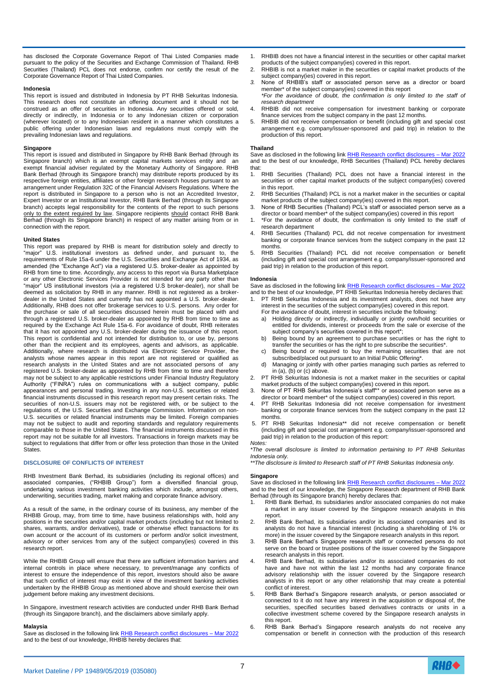has disclosed the Corporate Governance Report of Thai Listed Companies made pursuant to the policy of the Securities and Exchange Commission of Thailand. RHB Securities (Thailand) PCL does not endorse, confirm nor certify the result of the Corporate Governance Report of Thai Listed Companies.

#### **Indonesia**

This report is issued and distributed in Indonesia by PT RHB Sekuritas Indonesia. This research does not constitute an offering document and it should not be construed as an offer of securities in Indonesia. Any securities offered or sold, directly or indirectly, in Indonesia or to any Indonesian citizen or corporation (wherever located) or to any Indonesian resident in a manner which constitutes a public offering under Indonesian laws and regulations must comply with the prevailing Indonesian laws and regulations.

#### **Singapore**

This report is issued and distributed in Singapore by RHB Bank Berhad (through its Singapore branch) which is an exempt capital markets services entity and an exempt financial adviser regulated by the Monetary Authority of Singapore. RHB Bank Berhad (through its Singapore branch) may distribute reports produced by its respective foreign entities, affiliates or other foreign research houses pursuant to an arrangement under Regulation 32C of the Financial Advisers Regulations. Where the report is distributed in Singapore to a person who is not an Accredited Investor, Expert Investor or an Institutional Investor, RHB Bank Berhad (through its Singapore branch) accepts legal responsibility for the contents of the report to such persons only to the extent required by law. Singapore recipients should contact RHB Bank Berhad (through its Singapore branch) in respect of any matter arising from or in connection with the report.

#### **United States**

This report was prepared by RHB is meant for distribution solely and directly to "major" U.S. institutional investors as defined under, and pursuant to, the requirements of Rule 15a-6 under the U.S. Securities and Exchange Act of 1934, as amended (the "Exchange Act") via a registered U.S. broker-dealer as appointed by RHB from time to time. Accordingly, any access to this report via Bursa Marketplace or any other Electronic Services Provider is not intended for any party other than "major" US institutional investors (via a registered U.S broker-dealer), nor shall be deemed as solicitation by RHB in any manner. RHB is not registered as a brokerdealer in the United States and currently has not appointed a U.S. broker-dealer. Additionally, RHB does not offer brokerage services to U.S. persons. Any order for the purchase or sale of all securities discussed herein must be placed with and through a registered U.S. broker-dealer as appointed by RHB from time to time as required by the Exchange Act Rule 15a-6. For avoidance of doubt, RHB reiterates that it has not appointed any U.S. broker-dealer during the issuance of this report. This report is confidential and not intended for distribution to, or use by, persons other than the recipient and its employees, agents and advisors, as applicable. Additionally, where research is distributed via Electronic Service Provider, the analysts whose names appear in this report are not registered or qualified as research analysts in the United States and are not associated persons of any registered U.S. broker-dealer as appointed by RHB from time to time and therefore may not be subject to any applicable restrictions under Financial Industry Regulatory Authority ("FINRA") rules on communications with a subject company, public appearances and personal trading. Investing in any non-U.S. securities or related financial instruments discussed in this research report may present certain risks. The securities of non-U.S. issuers may not be registered with, or be subject to the regulations of, the U.S. Securities and Exchange Commission. Information on non-U.S. securities or related financial instruments may be limited. Foreign companies may not be subject to audit and reporting standards and regulatory requirements comparable to those in the United States. The financial instruments discussed in this report may not be suitable for all investors. Transactions in foreign markets may be subject to regulations that differ from or offer less protection than those in the United States.

#### **DISCLOSURE OF CONFLICTS OF INTEREST**

RHB Investment Bank Berhad, its subsidiaries (including its regional offices) and associated companies, ("RHBIB Group") form a diversified financial group, undertaking various investment banking activities which include, amongst others, underwriting, securities trading, market making and corporate finance advisory.

As a result of the same, in the ordinary course of its business, any member of the RHBIB Group, may, from time to time, have business relationships with, hold any positions in the securities and/or capital market products (including but not limited to shares, warrants, and/or derivatives), trade or otherwise effect transactions for its own account or the account of its customers or perform and/or solicit investment, advisory or other services from any of the subject company(ies) covered in this research report.

While the RHBIB Group will ensure that there are sufficient information barriers and internal controls in place where necessary, to prevent/manage any conflicts of interest to ensure the independence of this report, investors should also be aware that such conflict of interest may exist in view of the investment banking activities undertaken by the RHBIB Group as mentioned above and should exercise their own judgement before making any investment decisions.

In Singapore, investment research activities are conducted under RHB Bank Berhad (through its Singapore branch), and the disclaimers above similarly apply.

#### **Malaysia**

Save as disclosed in the following lin[k RHB Research conflict disclosures –](https://research.rhbtradesmart.com/view-file/hash/421561513896146896225a802c56a5) Mar 2022 and to the best of our knowledge, RHBIB hereby declares that:

- 1. RHBIB does not have a financial interest in the securities or other capital market products of the subject company(ies) covered in this report.
- 2. RHBIB is not a market maker in the securities or capital market products of the subject company(ies) covered in this report.
- *3.* None of RHBIB's staff or associated person serve as a director or board member\* of the subject company(ies) covered in this report *\*For the avoidance of doubt, the confirmation is only limited to the staff of*
- *research department* 4. RHBIB did not receive compensation for investment banking or corporate finance services from the subject company in the past 12 months.
- 5. RHBIB did not receive compensation or benefit (including gift and special cost arrangement e.g. company/issuer-sponsored and paid trip) in relation to the production of this report.

#### **Thailand**

Save as disclosed in the following link RHB Research conflict disclosures - Mar 2022 and to the best of our knowledge, RHB Securities (Thailand) PCL hereby declares that:

- 1. RHB Securities (Thailand) PCL does not have a financial interest in the securities or other capital market products of the subject company(ies) covered in this report.
- 2. RHB Securities (Thailand) PCL is not a market maker in the securities or capital market products of the subject company(ies) covered in this report.
- 3. None of RHB Securities (Thailand) PCL's staff or associated person serve as a director or board member\* of the subject company(ies) covered in this report
- 1. \*For the avoidance of doubt, the confirmation is only limited to the staff of research department
- 4. RHB Securities (Thailand) PCL did not receive compensation for investment banking or corporate finance services from the subject company in the past 12 months.
- 5. RHB Securities (Thailand) PCL did not receive compensation or benefit (including gift and special cost arrangement e.g. company/issuer-sponsored and paid trip) in relation to the production of this report.

#### **Indonesia**

Save as disclosed in the following link RHB Research conflict disclosures - Mar 2022 and to the best of our knowledge, PT RHB Sekuritas Indonesia hereby declares that:

- PT RHB Sekuritas Indonesia and its investment analysts, does not have any interest in the securities of the subject company(ies) covered in this report.
	- For the avoidance of doubt, interest in securities include the following:
	- a) Holding directly or indirectly, individually or jointly own/hold securities or entitled for dividends, interest or proceeds from the sale or exercise of the subject company's securities covered in this report\*;
	- b) Being bound by an agreement to purchase securities or has the right to transfer the securities or has the right to pre subscribe the securities\*
	- c) Being bound or required to buy the remaining securities that are not subscribed/placed out pursuant to an Initial Public Offering\*.
	- d) Managing or jointly with other parties managing such parties as referred to in (a), (b) or (c) above.
- 2. PT RHB Sekuritas Indonesia is not a market maker in the securities or capital market products of the subject company(ies) covered in this report.
- 3. None of PT RHB Sekuritas Indonesia's staff\*\* or associated person serve as a director or board member\* of the subject company(ies) covered in this report.
- 4. PT RHB Sekuritas Indonesia did not receive compensation for investment banking or corporate finance services from the subject company in the past 12 months.
- 5. PT RHB Sekuritas Indonesia\*\* did not receive compensation or benefit (including gift and special cost arrangement e.g. company/issuer-sponsored and paid trip) in relation to the production of this report:

# *Notes:*

*\*The overall disclosure is limited to information pertaining to PT RHB Sekuritas Indonesia only.*

*\*\*The disclosure is limited to Research staff of PT RHB Sekuritas Indonesia only.*

#### **Singapore**

Save as disclosed in the following lin[k RHB Research conflict disclosures –](https://research.rhbtradesmart.com/view-file/hash/421561513896146896225a802c56a5) Mar 2022 and to the best of our knowledge, the Singapore Research department of RHB Bank Berhad (through its Singapore branch) hereby declares that:

- RHB Bank Berhad, its subsidiaries and/or associated companies do not make a market in any issuer covered by the Singapore research analysts in this report.
- 2. RHB Bank Berhad, its subsidiaries and/or its associated companies and its analysts do not have a financial interest (including a shareholding of 1% or more) in the issuer covered by the Singapore research analysts in this report.
- 3. RHB Bank Berhad's Singapore research staff or connected persons do not serve on the board or trustee positions of the issuer covered by the Singapore research analysts in this report.
- 4. RHB Bank Berhad, its subsidiaries and/or its associated companies do not have and have not within the last 12 months had any corporate finance advisory relationship with the issuer covered by the Singapore research analysts in this report or any other relationship that may create a potential conflict of interest.
- 5. RHB Bank Berhad's Singapore research analysts, or person associated or connected to it do not have any interest in the acquisition or disposal of, the securities, specified securities based derivatives contracts or units in a collective investment scheme covered by the Singapore research analysts in this report.
- 6. RHB Bank Berhad's Singapore research analysts do not receive any compensation or benefit in connection with the production of this research